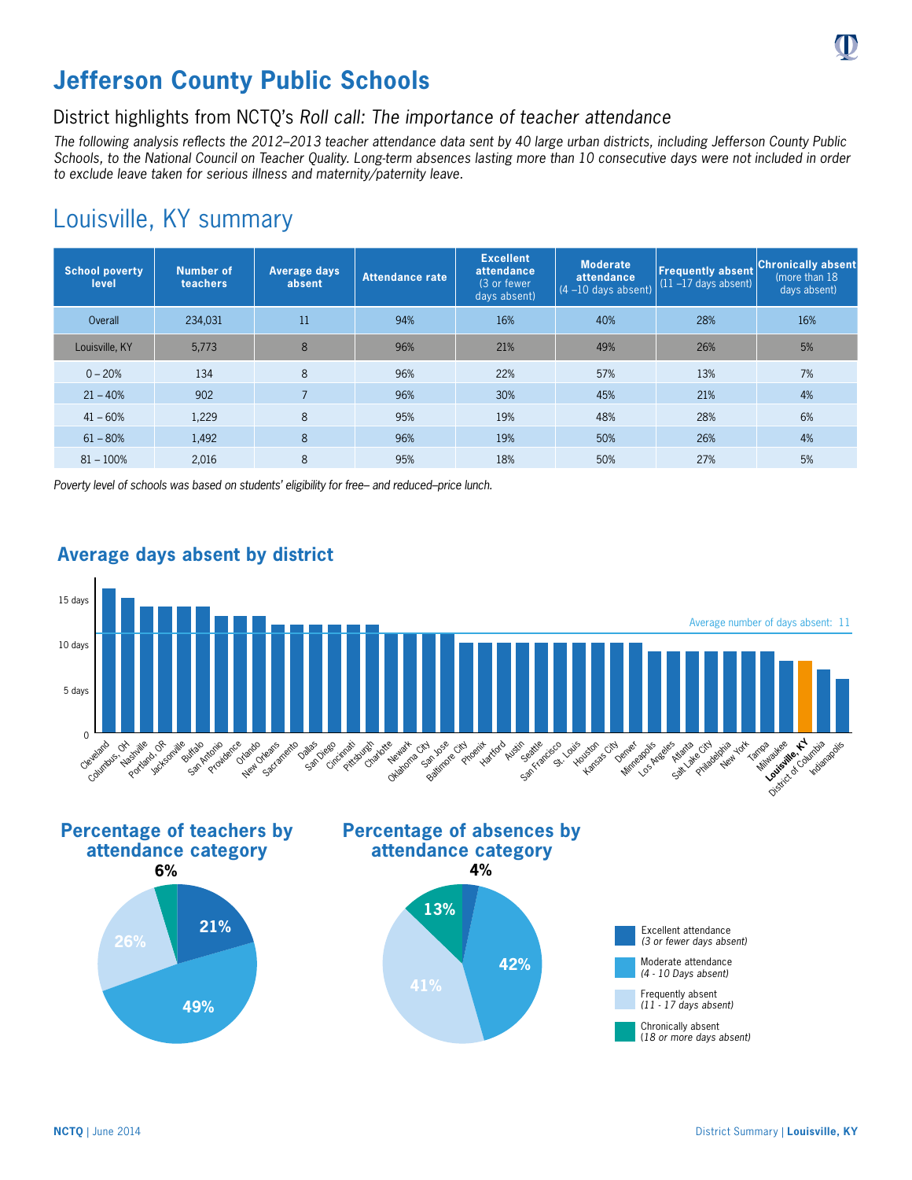

## District highlights from NCTQ's *Roll call: The importance of teacher attendance*

*The following analysis reflects the 2012–2013 teacher attendance data sent by 40 large urban districts, including Jefferson County Public Schools, to the National Council on Teacher Quality. Long-term absences lasting more than 10 consecutive days were not included in order to exclude leave taken for serious illness and maternity/paternity leave.*

## Louisville, KY summary

| <b>School poverty</b><br>level | Number of<br>teachers | Average days<br>absent | <b>Attendance rate</b> | <b>Excellent</b><br>attendance<br>(3 or fewer)<br>days absent) | <b>Moderate</b><br>attendance<br>$(4 - 10$ days absent) | <b>Frequently absent</b><br>$(11 - 17$ days absent) | <b>Chronically absent</b><br>(more than 18)<br>days absent) |
|--------------------------------|-----------------------|------------------------|------------------------|----------------------------------------------------------------|---------------------------------------------------------|-----------------------------------------------------|-------------------------------------------------------------|
| Overall                        | 234,031               | 11                     | 94%                    | 16%                                                            | 40%                                                     | 28%                                                 | 16%                                                         |
| Louisville, KY                 | 5,773                 | 8                      | 96%                    | 21%                                                            | 49%                                                     | 26%                                                 | 5%                                                          |
| $0 - 20%$                      | 134                   | 8                      | 96%                    | 22%                                                            | 57%                                                     | 13%                                                 | 7%                                                          |
| $21 - 40%$                     | 902                   | $\overline{7}$         | 96%                    | 30%                                                            | 45%                                                     | 21%                                                 | 4%                                                          |
| $41 - 60%$                     | 1,229                 | 8                      | 95%                    | 19%                                                            | 48%                                                     | 28%                                                 | 6%                                                          |
| $61 - 80%$                     | 1.492                 | 8                      | 96%                    | 19%                                                            | 50%                                                     | 26%                                                 | 4%                                                          |
| $81 - 100%$                    | 2.016                 | 8                      | 95%                    | 18%                                                            | 50%                                                     | 27%                                                 | 5%                                                          |

*Poverty level of schools was based on students' eligibility for free– and reduced–price lunch.*



## **Average days absent by district**











Chronically absent (*18 or more days absent)*